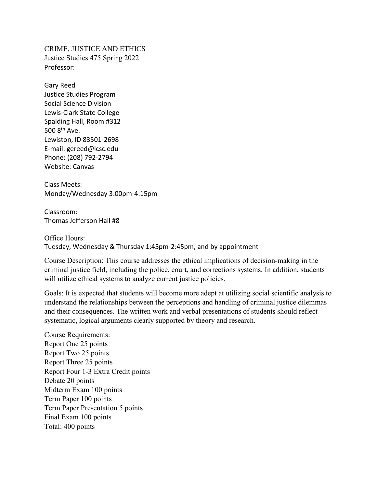CRIME, JUSTICE AND ETHICS Justice Studies 475 Spring 2022 Professor:

Gary Reed Justice Studies Program Social Science Division Lewis-Clark State College Spalding Hall, Room #312 500 8th Ave. Lewiston, ID 83501-2698 E-mail: gereed@lcsc.edu Phone: (208) 792-2794 Website: Canvas

Class Meets: Monday/Wednesday 3:00pm-4:15pm

Classroom: Thomas Jefferson Hall #8

Office Hours: Tuesday, Wednesday & Thursday 1:45pm-2:45pm, and by appointment

Course Description: This course addresses the ethical implications of decision-making in the criminal justice field, including the police, court, and corrections systems. In addition, students will utilize ethical systems to analyze current justice policies.

Goals: It is expected that students will become more adept at utilizing social scientific analysis to understand the relationships between the perceptions and handling of criminal justice dilemmas and their consequences. The written work and verbal presentations of students should reflect systematic, logical arguments clearly supported by theory and research.

Course Requirements: Report One 25 points Report Two 25 points Report Three 25 points Report Four 1-3 Extra Credit points Debate 20 points Midterm Exam 100 points Term Paper 100 points Term Paper Presentation 5 points Final Exam 100 points Total: 400 points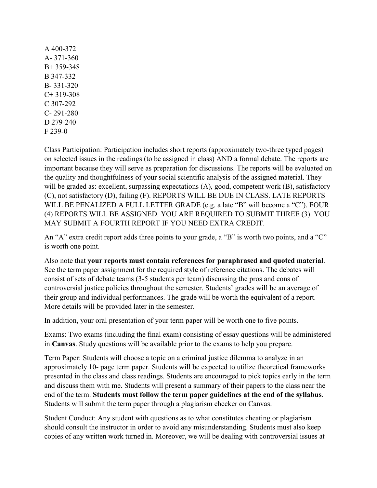A 400-372 A- 371-360 B+ 359-348 B 347-332 B- 331-320  $C+ 319-308$ C 307-292 C- 291-280 D 279-240 F 239-0

Class Participation: Participation includes short reports (approximately two-three typed pages) on selected issues in the readings (to be assigned in class) AND a formal debate. The reports are important because they will serve as preparation for discussions. The reports will be evaluated on the quality and thoughtfulness of your social scientific analysis of the assigned material. They will be graded as: excellent, surpassing expectations (A), good, competent work (B), satisfactory (C), not satisfactory (D), failing (F). REPORTS WILL BE DUE IN CLASS. LATE REPORTS WILL BE PENALIZED A FULL LETTER GRADE (e.g. a late "B" will become a "C"). FOUR (4) REPORTS WILL BE ASSIGNED. YOU ARE REQUIRED TO SUBMIT THREE (3). YOU MAY SUBMIT A FOURTH REPORT IF YOU NEED EXTRA CREDIT.

An "A" extra credit report adds three points to your grade, a "B" is worth two points, and a "C" is worth one point.

Also note that **your reports must contain references for paraphrased and quoted material**. See the term paper assignment for the required style of reference citations. The debates will consist of sets of debate teams (3-5 students per team) discussing the pros and cons of controversial justice policies throughout the semester. Students' grades will be an average of their group and individual performances. The grade will be worth the equivalent of a report. More details will be provided later in the semester.

In addition, your oral presentation of your term paper will be worth one to five points.

Exams: Two exams (including the final exam) consisting of essay questions will be administered in **Canvas**. Study questions will be available prior to the exams to help you prepare.

Term Paper: Students will choose a topic on a criminal justice dilemma to analyze in an approximately 10- page term paper. Students will be expected to utilize theoretical frameworks presented in the class and class readings. Students are encouraged to pick topics early in the term and discuss them with me. Students will present a summary of their papers to the class near the end of the term. **Students must follow the term paper guidelines at the end of the syllabus**. Students will submit the term paper through a plagiarism checker on Canvas.

Student Conduct: Any student with questions as to what constitutes cheating or plagiarism should consult the instructor in order to avoid any misunderstanding. Students must also keep copies of any written work turned in. Moreover, we will be dealing with controversial issues at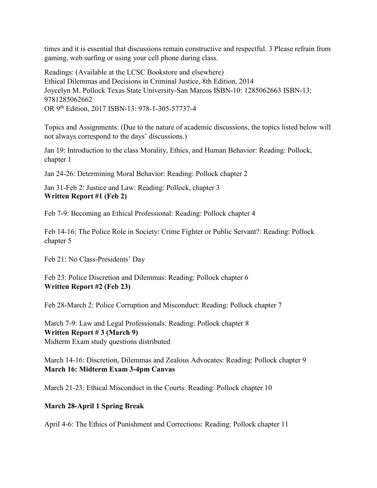times and it is essential that discussions remain constructive and respectful. 3 Please refrain from gaming, web surfing or using your cell phone during class.

Readings: (Available at the LCSC Bookstore and elsewhere) Ethical Dilemmas and Decisions in Criminal Justice, 8th Edition, 2014 Joycelyn M. Pollock Texas State University-San Marcos ISBN-10: 1285062663 ISBN-13: 9781285062662 OR 9th Edition, 2017 ISBN-13: 978-1-305-57737-4

Topics and Assignments: (Due to the nature of academic discussions, the topics listed below will not always correspond to the days' discussions.)

Jan 19: Introduction to the class Morality, Ethics, and Human Behavior: Reading: Pollock, chapter 1

Jan 24-26: Determining Moral Behavior: Reading: Pollock chapter 2

Jan 31-Feb 2: Justice and Law: Reading: Pollock, chapter 3 **Written Report #1 (Feb 2)**

Feb 7-9: Becoming an Ethical Professional: Reading: Pollock chapter 4

Feb 14-16: The Police Role in Society: Crime Fighter or Public Servant?: Reading: Pollock chapter 5

Feb 21: No Class-Presidents' Day

Feb 23: Police Discretion and Dilemmas: Reading: Pollock chapter 6 **Written Report #2 (Feb 23)**

Feb 28-March 2: Police Corruption and Misconduct: Reading: Pollock chapter 7

March 7-9: Law and Legal Professionals: Reading: Pollock chapter 8 **Written Report # 3 (March 9)** Midterm Exam study questions distributed

March 14-16: Discretion, Dilemmas and Zealous Advocates: Reading: Pollock chapter 9 **March 16: Midterm Exam 3-4pm Canvas**

March 21-23: Ethical Misconduct in the Courts: Reading: Pollock chapter 10

## **March 28-April 1 Spring Break**

April 4-6: The Ethics of Punishment and Corrections: Reading: Pollock chapter 11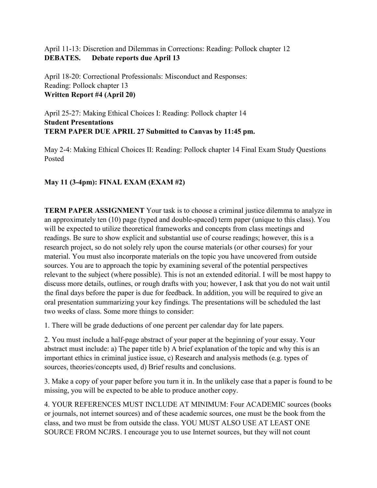April 11-13: Discretion and Dilemmas in Corrections: Reading: Pollock chapter 12 **DEBATES. Debate reports due April 13**

April 18-20: Correctional Professionals: Misconduct and Responses: Reading: Pollock chapter 13 **Written Report #4 (April 20)**

April 25-27: Making Ethical Choices I: Reading: Pollock chapter 14 **Student Presentations TERM PAPER DUE APRIL 27 Submitted to Canvas by 11:45 pm.** 

May 2-4: Making Ethical Choices II: Reading: Pollock chapter 14 Final Exam Study Questions Posted

## **May 11 (3-4pm): FINAL EXAM (EXAM #2)**

**TERM PAPER ASSIGNMENT** Your task is to choose a criminal justice dilemma to analyze in an approximately ten (10) page (typed and double-spaced) term paper (unique to this class). You will be expected to utilize theoretical frameworks and concepts from class meetings and readings. Be sure to show explicit and substantial use of course readings; however, this is a research project, so do not solely rely upon the course materials (or other courses) for your material. You must also incorporate materials on the topic you have uncovered from outside sources. You are to approach the topic by examining several of the potential perspectives relevant to the subject (where possible). This is not an extended editorial. I will be most happy to discuss more details, outlines, or rough drafts with you; however, I ask that you do not wait until the final days before the paper is due for feedback. In addition, you will be required to give an oral presentation summarizing your key findings. The presentations will be scheduled the last two weeks of class. Some more things to consider:

1. There will be grade deductions of one percent per calendar day for late papers.

2. You must include a half-page abstract of your paper at the beginning of your essay. Your abstract must include: a) The paper title b) A brief explanation of the topic and why this is an important ethics in criminal justice issue, c) Research and analysis methods (e.g. types of sources, theories/concepts used, d) Brief results and conclusions.

3. Make a copy of your paper before you turn it in. In the unlikely case that a paper is found to be missing, you will be expected to be able to produce another copy.

4. YOUR REFERENCES MUST INCLUDE AT MINIMUM: Four ACADEMIC sources (books or journals, not internet sources) and of these academic sources, one must be the book from the class, and two must be from outside the class. YOU MUST ALSO USE AT LEAST ONE SOURCE FROM NCJRS. I encourage you to use Internet sources, but they will not count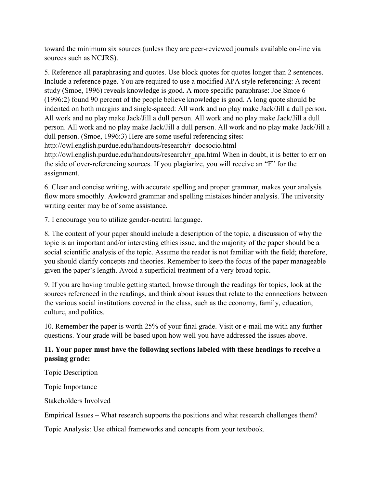toward the minimum six sources (unless they are peer-reviewed journals available on-line via sources such as NCJRS).

5. Reference all paraphrasing and quotes. Use block quotes for quotes longer than 2 sentences. Include a reference page. You are required to use a modified APA style referencing: A recent study (Smoe, 1996) reveals knowledge is good. A more specific paraphrase: Joe Smoe 6 (1996:2) found 90 percent of the people believe knowledge is good. A long quote should be indented on both margins and single-spaced: All work and no play make Jack/Jill a dull person. All work and no play make Jack/Jill a dull person. All work and no play make Jack/Jill a dull person. All work and no play make Jack/Jill a dull person. All work and no play make Jack/Jill a dull person. (Smoe, 1996:3) Here are some useful referencing sites: http://owl.english.purdue.edu/handouts/research/r\_docsocio.html http://owl.english.purdue.edu/handouts/research/r apa.html When in doubt, it is better to err on the side of over-referencing sources. If you plagiarize, you will receive an "F" for the assignment.

6. Clear and concise writing, with accurate spelling and proper grammar, makes your analysis flow more smoothly. Awkward grammar and spelling mistakes hinder analysis. The university writing center may be of some assistance.

7. I encourage you to utilize gender-neutral language.

8. The content of your paper should include a description of the topic, a discussion of why the topic is an important and/or interesting ethics issue, and the majority of the paper should be a social scientific analysis of the topic. Assume the reader is not familiar with the field; therefore, you should clarify concepts and theories. Remember to keep the focus of the paper manageable given the paper's length. Avoid a superficial treatment of a very broad topic.

9. If you are having trouble getting started, browse through the readings for topics, look at the sources referenced in the readings, and think about issues that relate to the connections between the various social institutions covered in the class, such as the economy, family, education, culture, and politics.

10. Remember the paper is worth 25% of your final grade. Visit or e-mail me with any further questions. Your grade will be based upon how well you have addressed the issues above.

## **11. Your paper must have the following sections labeled with these headings to receive a passing grade:**

Topic Description

Topic Importance

Stakeholders Involved

Empirical Issues – What research supports the positions and what research challenges them?

Topic Analysis: Use ethical frameworks and concepts from your textbook.